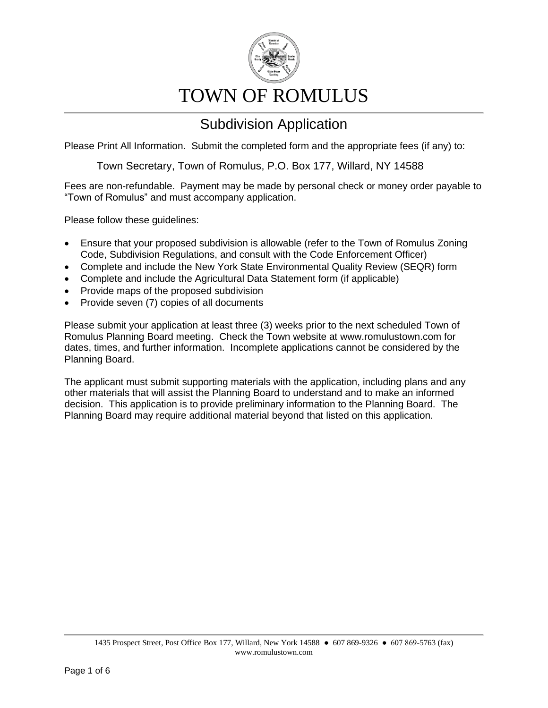

# TOWN OF ROMULUS

### Subdivision Application

Please Print All Information. Submit the completed form and the appropriate fees (if any) to:

Town Secretary, Town of Romulus, P.O. Box 177, Willard, NY 14588

Fees are non-refundable. Payment may be made by personal check or money order payable to "Town of Romulus" and must accompany application.

Please follow these guidelines:

- Ensure that your proposed subdivision is allowable (refer to the Town of Romulus Zoning Code, Subdivision Regulations, and consult with the Code Enforcement Officer)
- Complete and include the New York State Environmental Quality Review (SEQR) form
- Complete and include the Agricultural Data Statement form (if applicable)
- Provide maps of the proposed subdivision
- Provide seven (7) copies of all documents

Please submit your application at least three (3) weeks prior to the next scheduled Town of Romulus Planning Board meeting. Check the Town website at www.romulustown.com for dates, times, and further information. Incomplete applications cannot be considered by the Planning Board.

The applicant must submit supporting materials with the application, including plans and any other materials that will assist the Planning Board to understand and to make an informed decision. This application is to provide preliminary information to the Planning Board. The Planning Board may require additional material beyond that listed on this application.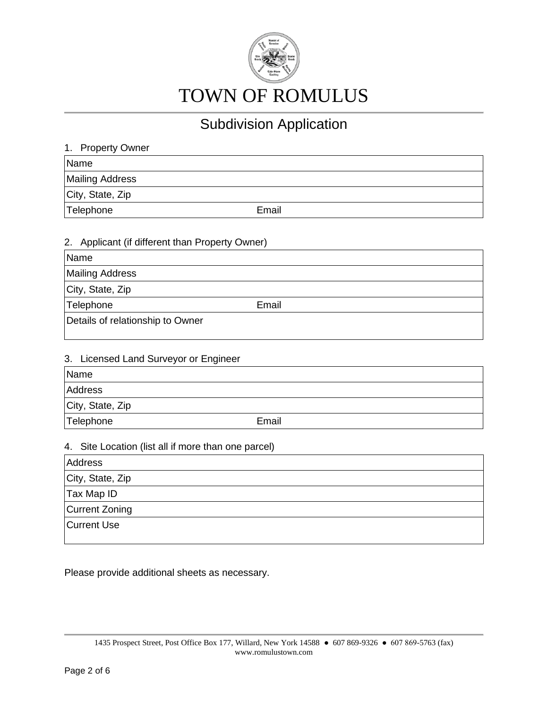

| 1. Property Owner      |       |
|------------------------|-------|
| Name                   |       |
| <b>Mailing Address</b> |       |
| City, State, Zip       |       |
| Telephone              | Email |

#### 2. Applicant (if different than Property Owner)

| Name                             |       |
|----------------------------------|-------|
| <b>Mailing Address</b>           |       |
| City, State, Zip                 |       |
| Telephone                        | Email |
| Details of relationship to Owner |       |

#### 3. Licensed Land Surveyor or Engineer

| Name             |       |
|------------------|-------|
| <b>Address</b>   |       |
| City, State, Zip |       |
| Telephone        | Email |

#### 4. Site Location (list all if more than one parcel)

| Address            |  |
|--------------------|--|
| City, State, Zip   |  |
| Tax Map ID         |  |
| Current Zoning     |  |
| <b>Current Use</b> |  |
|                    |  |

Please provide additional sheets as necessary.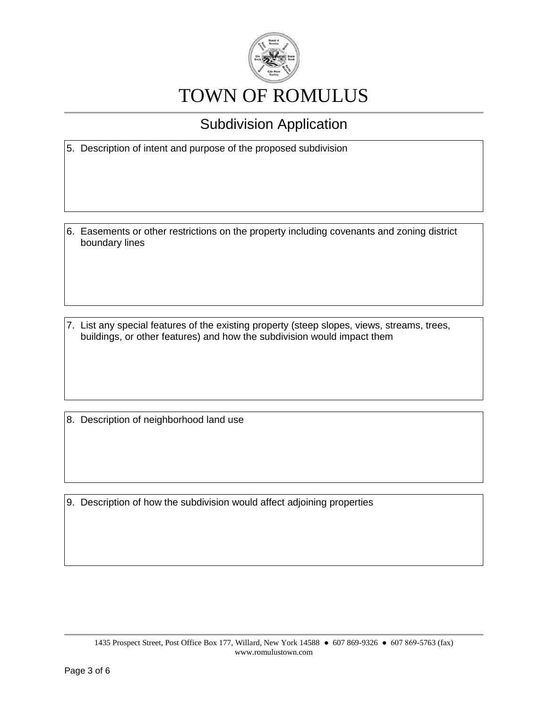

5. Description of intent and purpose of the proposed subdivision

6. Easements or other restrictions on the property including covenants and zoning district boundary lines

7. List any special features of the existing property (steep slopes, views, streams, trees, buildings, or other features) and how the subdivision would impact them

8. Description of neighborhood land use

9. Description of how the subdivision would affect adjoining properties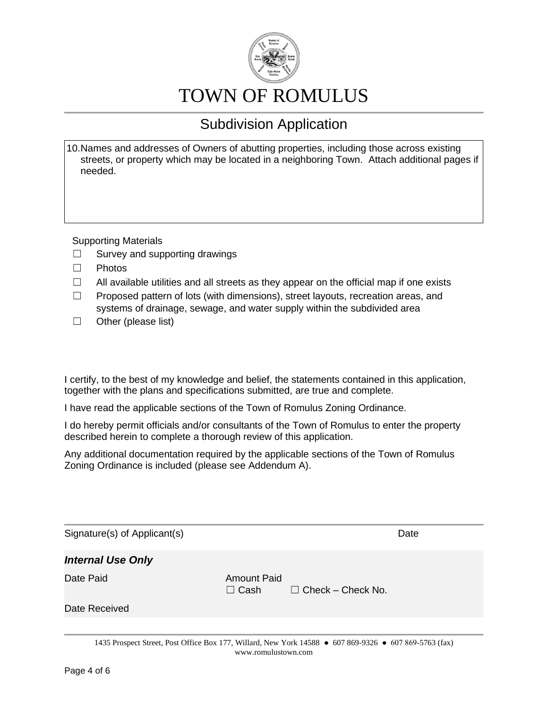

# TOWN OF ROMULUS

## Subdivision Application

10.Names and addresses of Owners of abutting properties, including those across existing streets, or property which may be located in a neighboring Town. Attach additional pages if needed.

Supporting Materials

- $\Box$  Survey and supporting drawings
- ☐ Photos
- $\Box$  All available utilities and all streets as they appear on the official map if one exists
- ☐ Proposed pattern of lots (with dimensions), street layouts, recreation areas, and systems of drainage, sewage, and water supply within the subdivided area
- $\Box$  Other (please list)

I certify, to the best of my knowledge and belief, the statements contained in this application, together with the plans and specifications submitted, are true and complete.

I have read the applicable sections of the Town of Romulus Zoning Ordinance.

I do hereby permit officials and/or consultants of the Town of Romulus to enter the property described herein to complete a thorough review of this application.

Any additional documentation required by the applicable sections of the Town of Romulus Zoning Ordinance is included (please see Addendum A).

| Signature(s) of Applicant(s)                                                                                             |                                   |                          | Date |
|--------------------------------------------------------------------------------------------------------------------------|-----------------------------------|--------------------------|------|
| <b>Internal Use Only</b>                                                                                                 |                                   |                          |      |
| Date Paid                                                                                                                | <b>Amount Paid</b><br>$\Box$ Cash | $\Box$ Check – Check No. |      |
| Date Received                                                                                                            |                                   |                          |      |
|                                                                                                                          |                                   |                          |      |
| $1425$ Prognast Street, Dost Office Doy 177, Willerd, New York 14500 $\bullet$ 607,060,0226 $\bullet$ 607,060,5762 (fey) |                                   |                          |      |

1435 Prospect Street, Post Office Box 177, Willard, New York 14588 ● 607 869-9326 ● 607 869-5763 (fax) www.romulustown.com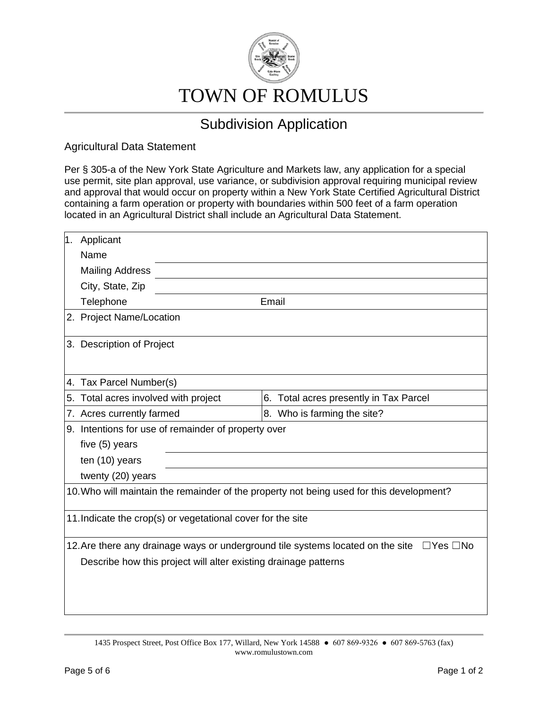

Agricultural Data Statement

Per § 305-a of the New York State Agriculture and Markets law, any application for a special use permit, site plan approval, use variance, or subdivision approval requiring municipal review and approval that would occur on property within a New York State Certified Agricultural District containing a farm operation or property with boundaries within 500 feet of a farm operation located in an Agricultural District shall include an Agricultural Data Statement.

| 1. | Applicant                                                                                               |                                        |  |  |  |
|----|---------------------------------------------------------------------------------------------------------|----------------------------------------|--|--|--|
|    | Name                                                                                                    |                                        |  |  |  |
|    | <b>Mailing Address</b>                                                                                  |                                        |  |  |  |
|    | City, State, Zip                                                                                        |                                        |  |  |  |
|    | Telephone                                                                                               | Email                                  |  |  |  |
|    | 2. Project Name/Location                                                                                |                                        |  |  |  |
|    | 3. Description of Project                                                                               |                                        |  |  |  |
|    | 4. Tax Parcel Number(s)                                                                                 |                                        |  |  |  |
| 5. | Total acres involved with project                                                                       | 6. Total acres presently in Tax Parcel |  |  |  |
|    | 7. Acres currently farmed                                                                               | 8. Who is farming the site?            |  |  |  |
|    | 9. Intentions for use of remainder of property over                                                     |                                        |  |  |  |
|    | five (5) years                                                                                          |                                        |  |  |  |
|    | ten (10) years                                                                                          |                                        |  |  |  |
|    | twenty (20) years                                                                                       |                                        |  |  |  |
|    | 10. Who will maintain the remainder of the property not being used for this development?                |                                        |  |  |  |
|    | 11. Indicate the crop(s) or vegetational cover for the site                                             |                                        |  |  |  |
|    | 12. Are there any drainage ways or underground tile systems located on the site<br>$\Box$ Yes $\Box$ No |                                        |  |  |  |
|    | Describe how this project will alter existing drainage patterns                                         |                                        |  |  |  |
|    |                                                                                                         |                                        |  |  |  |